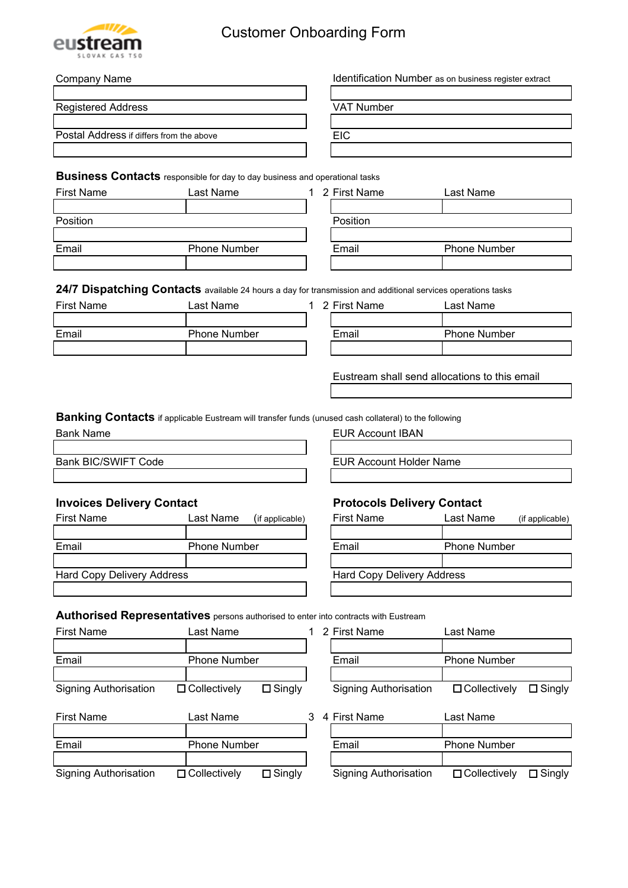

## Customer Onboarding Form

| <b>Company Name</b>                      |                                                                                                              |   |                                               | Identification Number as on business register extract |  |  |
|------------------------------------------|--------------------------------------------------------------------------------------------------------------|---|-----------------------------------------------|-------------------------------------------------------|--|--|
| <b>Registered Address</b>                |                                                                                                              |   | <b>VAT Number</b>                             |                                                       |  |  |
|                                          |                                                                                                              |   |                                               |                                                       |  |  |
| Postal Address if differs from the above |                                                                                                              |   | <b>EIC</b>                                    |                                                       |  |  |
|                                          |                                                                                                              |   |                                               |                                                       |  |  |
|                                          | <b>Business Contacts</b> responsible for day to day business and operational tasks                           |   |                                               |                                                       |  |  |
| <b>First Name</b>                        | Last Name                                                                                                    |   | 1 2 First Name                                | Last Name                                             |  |  |
| Position                                 |                                                                                                              |   | Position                                      |                                                       |  |  |
|                                          |                                                                                                              |   |                                               |                                                       |  |  |
| Email                                    | <b>Phone Number</b>                                                                                          |   | Email                                         | <b>Phone Number</b>                                   |  |  |
|                                          |                                                                                                              |   |                                               |                                                       |  |  |
|                                          |                                                                                                              |   |                                               |                                                       |  |  |
|                                          | 24/7 Dispatching Contacts available 24 hours a day for transmission and additional services operations tasks |   |                                               |                                                       |  |  |
| <b>First Name</b>                        | Last Name                                                                                                    |   | 1 2 First Name                                | Last Name                                             |  |  |
|                                          |                                                                                                              |   |                                               |                                                       |  |  |
| Email                                    | <b>Phone Number</b>                                                                                          |   | Email                                         | <b>Phone Number</b>                                   |  |  |
|                                          |                                                                                                              |   |                                               |                                                       |  |  |
|                                          |                                                                                                              |   | Eustream shall send allocations to this email |                                                       |  |  |
|                                          |                                                                                                              |   |                                               |                                                       |  |  |
|                                          | <b>Banking Contacts</b> if applicable Eustream will transfer funds (unused cash collateral) to the following |   |                                               |                                                       |  |  |
| <b>Bank Name</b>                         |                                                                                                              |   | <b>EUR Account IBAN</b>                       |                                                       |  |  |
| <b>Bank BIC/SWIFT Code</b>               |                                                                                                              |   |                                               |                                                       |  |  |
|                                          |                                                                                                              |   | <b>EUR Account Holder Name</b>                |                                                       |  |  |
|                                          |                                                                                                              |   |                                               |                                                       |  |  |
| <b>Invoices Delivery Contact</b>         |                                                                                                              |   | <b>Protocols Delivery Contact</b>             |                                                       |  |  |
| <b>First Name</b>                        | Last Name<br>(if applicable)                                                                                 |   | <b>First Name</b>                             | Last Name<br>(if applicable)                          |  |  |
|                                          |                                                                                                              |   |                                               |                                                       |  |  |
| Email                                    | <b>Phone Number</b>                                                                                          |   | Email                                         | <b>Phone Number</b>                                   |  |  |
|                                          |                                                                                                              |   |                                               |                                                       |  |  |
| <b>Hard Copy Delivery Address</b>        |                                                                                                              |   | <b>Hard Copy Delivery Address</b>             |                                                       |  |  |
|                                          |                                                                                                              |   |                                               |                                                       |  |  |
|                                          | Authorised Representatives persons authorised to enter into contracts with Eustream                          |   |                                               |                                                       |  |  |
| <b>First Name</b>                        | Last Name                                                                                                    |   | 1 2 First Name                                | Last Name                                             |  |  |
|                                          |                                                                                                              |   |                                               |                                                       |  |  |
| Email                                    | <b>Phone Number</b>                                                                                          |   | Email                                         | <b>Phone Number</b>                                   |  |  |
|                                          |                                                                                                              |   |                                               |                                                       |  |  |
| <b>Signing Authorisation</b>             | $\square$ Singly<br>$\Box$ Collectively                                                                      |   | <b>Signing Authorisation</b>                  | $\Box$ Collectively<br>$\Box$ Singly                  |  |  |
| <b>First Name</b>                        | Last Name                                                                                                    | 3 | 4 First Name                                  | Last Name                                             |  |  |
| Email                                    | <b>Phone Number</b>                                                                                          |   | Email                                         | <b>Phone Number</b>                                   |  |  |
|                                          |                                                                                                              |   |                                               |                                                       |  |  |

Signing Authorisation Collectively Singly Signing Authorisation Collectively Singly